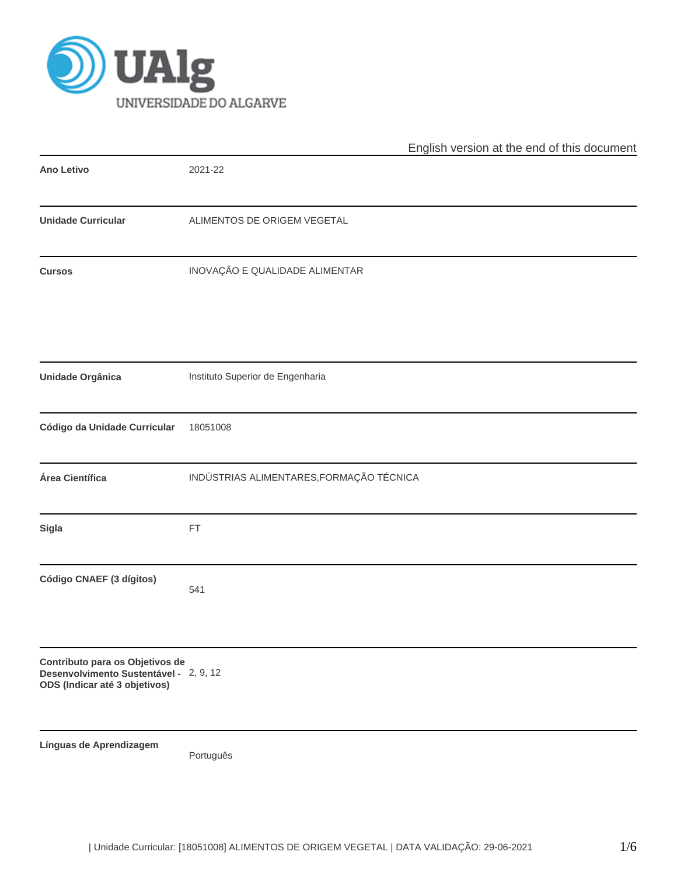

|                                                                                                            | English version at the end of this document |
|------------------------------------------------------------------------------------------------------------|---------------------------------------------|
| <b>Ano Letivo</b>                                                                                          | 2021-22                                     |
| <b>Unidade Curricular</b>                                                                                  | ALIMENTOS DE ORIGEM VEGETAL                 |
| <b>Cursos</b>                                                                                              | INOVAÇÃO E QUALIDADE ALIMENTAR              |
| Unidade Orgânica                                                                                           | Instituto Superior de Engenharia            |
| Código da Unidade Curricular                                                                               | 18051008                                    |
| Área Científica                                                                                            | INDÚSTRIAS ALIMENTARES, FORMAÇÃO TÉCNICA    |
| Sigla                                                                                                      | FT                                          |
| Código CNAEF (3 dígitos)                                                                                   | 541                                         |
| Contributo para os Objetivos de<br>Desenvolvimento Sustentável - 2, 9, 12<br>ODS (Indicar até 3 objetivos) |                                             |
| Línguas de Aprendizagem                                                                                    | Português                                   |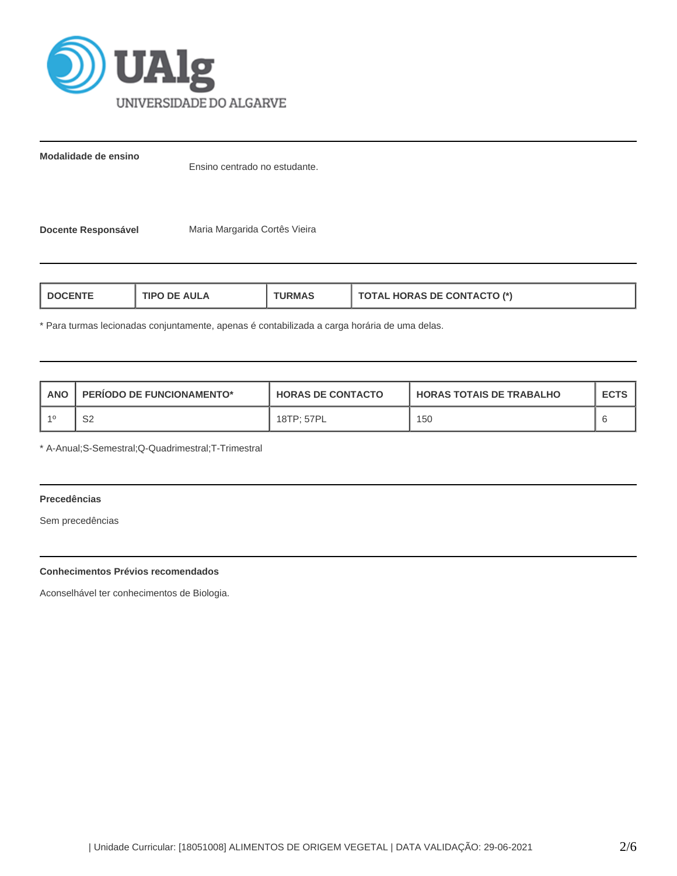

**Modalidade de ensino**

Ensino centrado no estudante.

**Docente Responsável** Maria Margarida Cortês Vieira

| <b>AULA</b><br>TIPO<br>'RMAJ<br>nF<br>⊢N. | <b>TOTAL HORAS DE CONTACTO (*)</b> |
|-------------------------------------------|------------------------------------|
|-------------------------------------------|------------------------------------|

\* Para turmas lecionadas conjuntamente, apenas é contabilizada a carga horária de uma delas.

| ANO | <b>PERIODO DE FUNCIONAMENTO*</b> | <b>HORAS DE CONTACTO</b> | I HORAS TOTAIS DE TRABALHO | <b>ECTS</b> |
|-----|----------------------------------|--------------------------|----------------------------|-------------|
|     | S2                               | 18TP: 57PL               | 150                        |             |

\* A-Anual;S-Semestral;Q-Quadrimestral;T-Trimestral

# **Precedências**

Sem precedências

# **Conhecimentos Prévios recomendados**

Aconselhável ter conhecimentos de Biologia.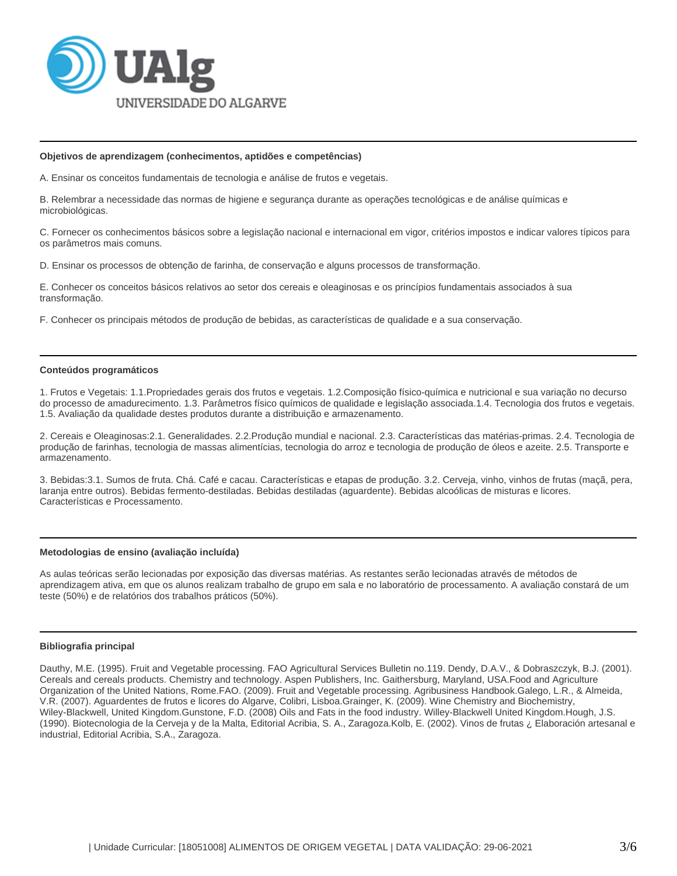

#### **Objetivos de aprendizagem (conhecimentos, aptidões e competências)**

A. Ensinar os conceitos fundamentais de tecnologia e análise de frutos e vegetais.

B. Relembrar a necessidade das normas de higiene e segurança durante as operações tecnológicas e de análise químicas e microbiológicas.

C. Fornecer os conhecimentos básicos sobre a legislação nacional e internacional em vigor, critérios impostos e indicar valores típicos para os parâmetros mais comuns.

D. Ensinar os processos de obtenção de farinha, de conservação e alguns processos de transformação.

E. Conhecer os conceitos básicos relativos ao setor dos cereais e oleaginosas e os princípios fundamentais associados à sua transformação.

F. Conhecer os principais métodos de produção de bebidas, as características de qualidade e a sua conservação.

#### **Conteúdos programáticos**

1. Frutos e Vegetais: 1.1.Propriedades gerais dos frutos e vegetais. 1.2.Composição físico-química e nutricional e sua variação no decurso do processo de amadurecimento. 1.3. Parâmetros físico químicos de qualidade e legislação associada.1.4. Tecnologia dos frutos e vegetais. 1.5. Avaliação da qualidade destes produtos durante a distribuição e armazenamento.

2. Cereais e Oleaginosas:2.1. Generalidades. 2.2.Produção mundial e nacional. 2.3. Características das matérias-primas. 2.4. Tecnologia de produção de farinhas, tecnologia de massas alimentícias, tecnologia do arroz e tecnologia de produção de óleos e azeite. 2.5. Transporte e armazenamento.

3. Bebidas:3.1. Sumos de fruta. Chá. Café e cacau. Características e etapas de produção. 3.2. Cerveja, vinho, vinhos de frutas (maçã, pera, laranja entre outros). Bebidas fermento-destiladas. Bebidas destiladas (aguardente). Bebidas alcoólicas de misturas e licores. Características e Processamento.

#### **Metodologias de ensino (avaliação incluída)**

As aulas teóricas serão lecionadas por exposição das diversas matérias. As restantes serão lecionadas através de métodos de aprendizagem ativa, em que os alunos realizam trabalho de grupo em sala e no laboratório de processamento. A avaliação constará de um teste (50%) e de relatórios dos trabalhos práticos (50%).

# **Bibliografia principal**

Dauthy, M.E. (1995). Fruit and Vegetable processing. FAO Agricultural Services Bulletin no.119. Dendy, D.A.V., & Dobraszczyk, B.J. (2001). Cereals and cereals products. Chemistry and technology. Aspen Publishers, Inc. Gaithersburg, Maryland, USA.Food and Agriculture Organization of the United Nations, Rome.FAO. (2009). Fruit and Vegetable processing. Agribusiness Handbook.Galego, L.R., & Almeida, V.R. (2007). Aguardentes de frutos e licores do Algarve, Colibri, Lisboa.Grainger, K. (2009). Wine Chemistry and Biochemistry, Wiley-Blackwell, United Kingdom.Gunstone, F.D. (2008) Oils and Fats in the food industry. Willey-Blackwell United Kingdom.Hough, J.S. (1990). Biotecnologia de la Cerveja y de la Malta, Editorial Acribia, S. A., Zaragoza.Kolb, E. (2002). Vinos de frutas ¿ Elaboración artesanal e industrial, Editorial Acribia, S.A., Zaragoza.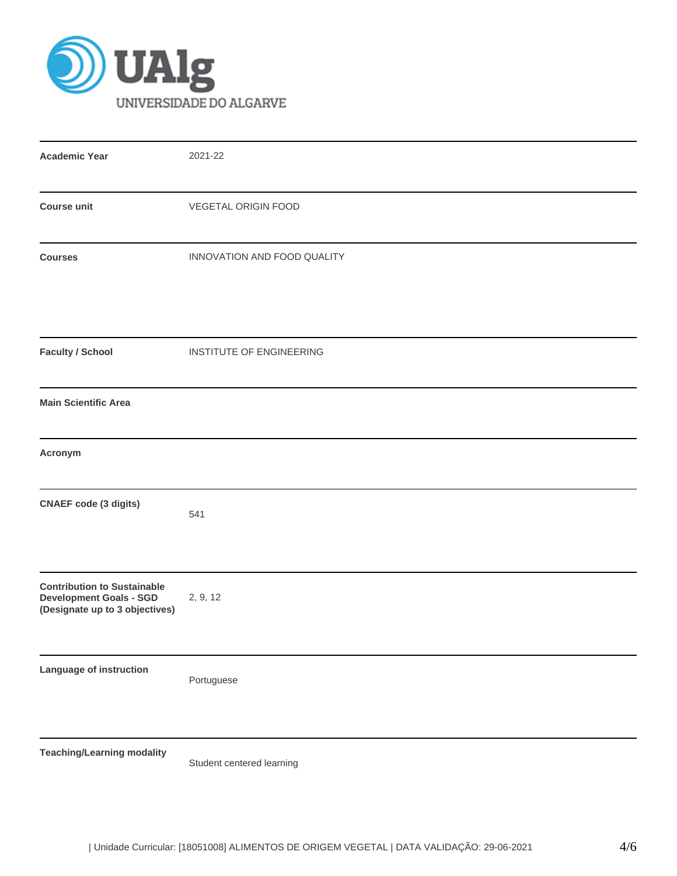

| <b>Academic Year</b>                                                                                   | 2021-22                     |
|--------------------------------------------------------------------------------------------------------|-----------------------------|
| <b>Course unit</b>                                                                                     | <b>VEGETAL ORIGIN FOOD</b>  |
| <b>Courses</b>                                                                                         | INNOVATION AND FOOD QUALITY |
| <b>Faculty / School</b>                                                                                | INSTITUTE OF ENGINEERING    |
| <b>Main Scientific Area</b>                                                                            |                             |
| Acronym                                                                                                |                             |
| <b>CNAEF</b> code (3 digits)                                                                           | 541                         |
| <b>Contribution to Sustainable</b><br><b>Development Goals - SGD</b><br>(Designate up to 3 objectives) | 2, 9, 12                    |
| Language of instruction                                                                                | Portuguese                  |
| <b>Teaching/Learning modality</b>                                                                      |                             |

Student centered learning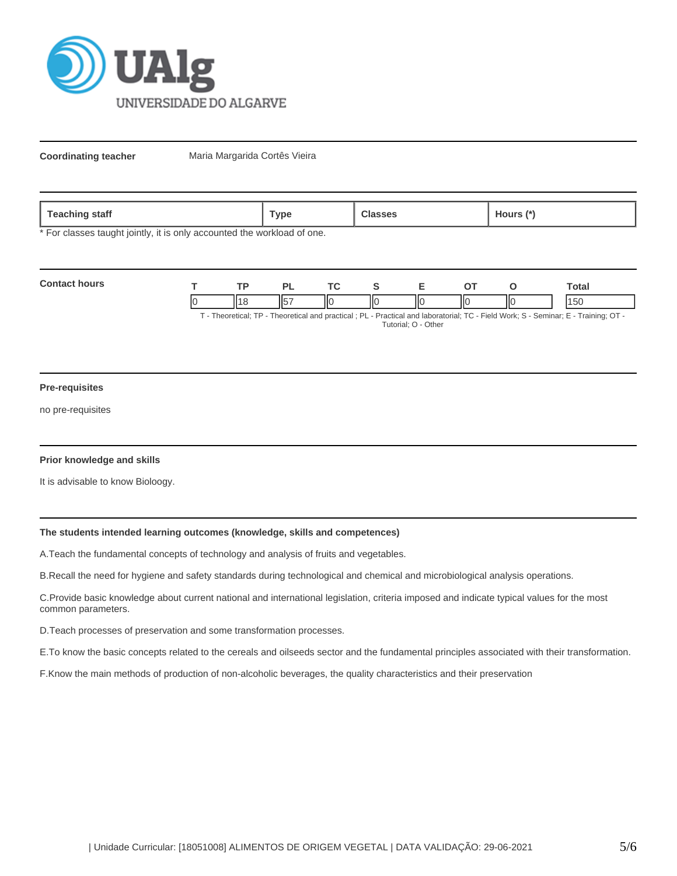

**Coordinating teacher** Maria Margarida Cortês Vieira

| <b>feaching</b> | `ype | lasses | $\overline{\phantom{a}}$ dours $\overline{\phantom{a}}^*$ |
|-----------------|------|--------|-----------------------------------------------------------|
| staff           | . .  |        | $\sim$                                                    |
|                 |      |        |                                                           |

\* For classes taught jointly, it is only accounted the workload of one.

| <b>Contact hours</b> |  |     |  |    |   | <b>otal</b>                                                                                                           |
|----------------------|--|-----|--|----|---|-----------------------------------------------------------------------------------------------------------------------|
|                      |  | ll( |  | IЮ | Π | 15(                                                                                                                   |
|                      |  |     |  |    |   | Theoretical: TD Theoretical and proctical : DL Dractical and Inhoratorial: TC Eiold Work: S. Sominar: E. Training: OT |

· Theoretical; TP - Theoretical and practical ; PL - Practical and laboratorial; TC - Field Work; S - Seminar; E - Training; OT Tutorial; O - Other

#### **Pre-requisites**

no pre-requisites

# **Prior knowledge and skills**

It is advisable to know Bioloogy.

# **The students intended learning outcomes (knowledge, skills and competences)**

A.Teach the fundamental concepts of technology and analysis of fruits and vegetables.

B.Recall the need for hygiene and safety standards during technological and chemical and microbiological analysis operations.

C.Provide basic knowledge about current national and international legislation, criteria imposed and indicate typical values for the most common parameters.

D.Teach processes of preservation and some transformation processes.

E.To know the basic concepts related to the cereals and oilseeds sector and the fundamental principles associated with their transformation.

F.Know the main methods of production of non-alcoholic beverages, the quality characteristics and their preservation